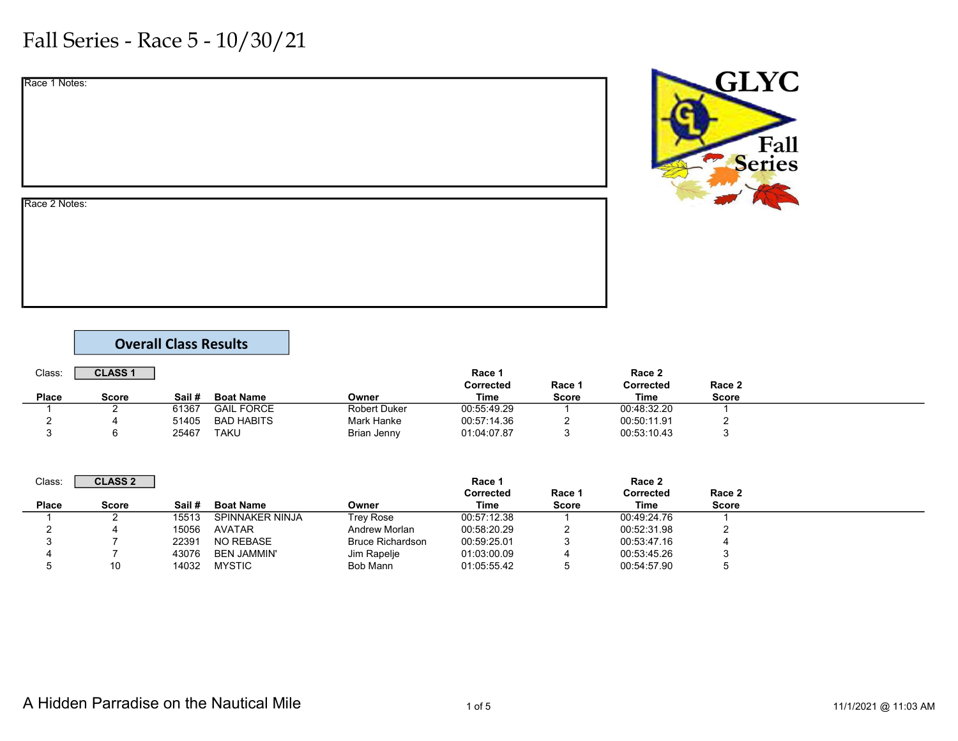|  | Race 1 Notes: |
|--|---------------|
|  |               |

**GLYC** Fall<br>Series

#### Race 2 Notes:

#### Overall Class Results

| Class:       | <b>CLASS1</b> |        |                   |                     | Race 1      |              | Race 2           |        |  |
|--------------|---------------|--------|-------------------|---------------------|-------------|--------------|------------------|--------|--|
|              |               |        |                   |                     | Corrected   | Race 1       | <b>Corrected</b> | Race 2 |  |
| <b>Place</b> | Score         | Sail # | <b>Boat Name</b>  | Owner               | Time        | <b>Score</b> | Time             | Score  |  |
|              |               | 61367  | <b>GAIL FORCE</b> | <b>Robert Duker</b> | 00:55:49.29 |              | 00:48:32.20      |        |  |
|              |               | 51405  | <b>BAD HABITS</b> | <b>Mark Hanke</b>   | 00:57:14.36 |              | 00:50:11.91      |        |  |
|              |               | 25467  | TAKU              | Brian Jenny         | 01:04:07.87 |              | 00:53:10.43      |        |  |

| Class:       | <b>CLASS 2</b> |        |                    |                         | Race 1            |                        | Race 2            |                        |  |
|--------------|----------------|--------|--------------------|-------------------------|-------------------|------------------------|-------------------|------------------------|--|
| <b>Place</b> | Score          | Sail # | <b>Boat Name</b>   | Owner                   | Corrected<br>Time | Race 1<br><b>Score</b> | Corrected<br>Time | Race 2<br><b>Score</b> |  |
|              |                | 15513  | SPINNAKER NINJA    | Trey Rose               | 00:57:12.38       |                        | 00:49:24.76       |                        |  |
|              |                | 15056  | <b>AVATAR</b>      | Andrew Morlan           | 00:58:20.29       |                        | 00:52:31.98       |                        |  |
|              |                | 22391  | NO REBASE          | <b>Bruce Richardson</b> | 00:59:25.01       |                        | 00:53:47.16       |                        |  |
|              |                | 43076  | <b>BEN JAMMIN'</b> | Jim Rapelje             | 01:03:00.09       |                        | 00:53:45.26       |                        |  |
|              | 10             | 14032  | <b>MYSTIC</b>      | Bob Mann                | 01:05:55.42       |                        | 00:54:57.90       |                        |  |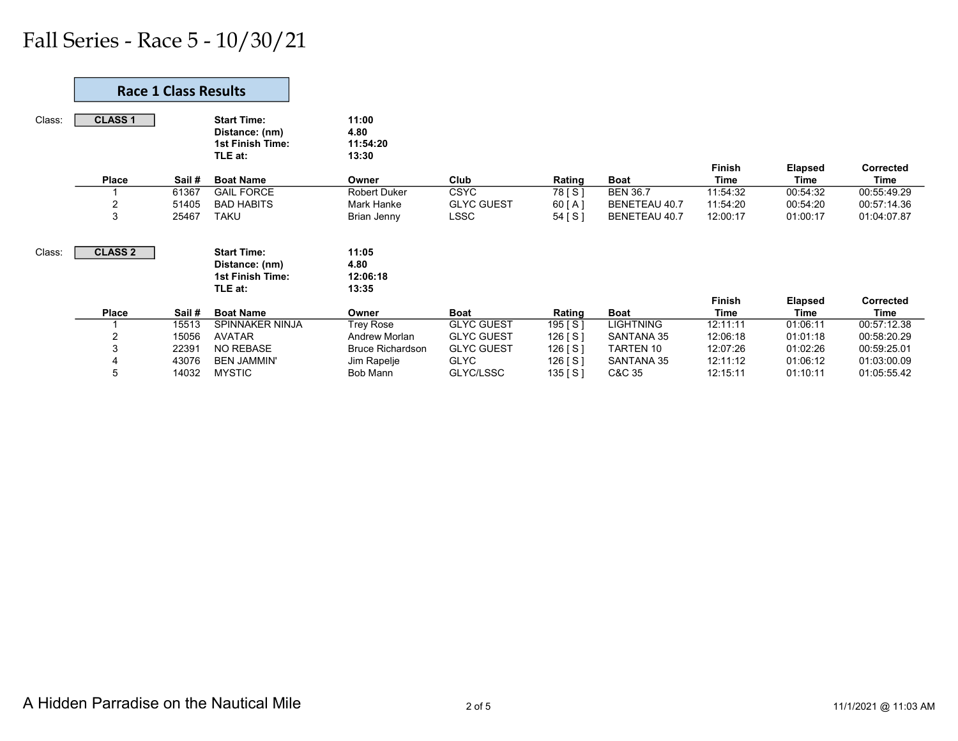|        |                | <b>Race 1 Class Results</b> |                                                                            |                                    |                   |           |                  |                              |                        |                          |
|--------|----------------|-----------------------------|----------------------------------------------------------------------------|------------------------------------|-------------------|-----------|------------------|------------------------------|------------------------|--------------------------|
| Class: | <b>CLASS 1</b> |                             | <b>Start Time:</b><br>Distance: (nm)<br><b>1st Finish Time:</b><br>TLE at: | 11:00<br>4.80<br>11:54:20<br>13:30 |                   |           |                  |                              |                        |                          |
|        | <b>Place</b>   | Sail #                      | <b>Boat Name</b>                                                           | Owner                              | Club              | Rating    | <b>Boat</b>      | <b>Finish</b><br><b>Time</b> | <b>Elapsed</b><br>Time | Corrected<br><b>Time</b> |
|        |                | 61367                       | <b>GAIL FORCE</b>                                                          | <b>Robert Duker</b>                | <b>CSYC</b>       | 78 [ S ]  | <b>BEN 36.7</b>  | 11:54:32                     | 00:54:32               | 00:55:49.29              |
|        | 2              | 51405                       | <b>BAD HABITS</b>                                                          | Mark Hanke                         | <b>GLYC GUEST</b> | 60[A]     | BENETEAU 40.7    | 11:54:20                     | 00:54:20               | 00:57:14.36              |
|        | 3              | 25467                       | <b>TAKU</b>                                                                | Brian Jenny                        | LSSC              | 54 [S]    | BENETEAU 40.7    | 12:00:17                     | 01:00:17               | 01:04:07.87              |
| Class: | <b>CLASS 2</b> |                             | <b>Start Time:</b><br>Distance: (nm)<br><b>1st Finish Time:</b><br>TLE at: | 11:05<br>4.80<br>12:06:18<br>13:35 |                   |           |                  |                              |                        |                          |
|        |                |                             |                                                                            |                                    |                   |           |                  | <b>Finish</b>                | <b>Elapsed</b>         | Corrected                |
|        | <b>Place</b>   | Sail#                       | <b>Boat Name</b>                                                           | Owner                              | <b>Boat</b>       | Rating    | <b>Boat</b>      | <b>Time</b>                  | Time                   | Time                     |
|        |                | 15513                       | SPINNAKER NINJA                                                            | Trey Rose                          | <b>GLYC GUEST</b> | 195 [ S ] | <b>LIGHTNING</b> | 12:11:11                     | 01:06:11               | 00:57:12.38              |
|        | 2              | 15056                       | <b>AVATAR</b>                                                              | Andrew Morlan                      | <b>GLYC GUEST</b> | 126 [S]   | SANTANA 35       | 12:06:18                     | 01:01:18               | 00:58:20.29              |
|        | 3              | 22391                       | <b>NO REBASE</b>                                                           | <b>Bruce Richardson</b>            | <b>GLYC GUEST</b> | 126 [S]   | TARTEN 10        | 12:07:26                     | 01:02:26               | 00:59:25.01              |
|        | 4              | 43076                       | <b>BEN JAMMIN'</b>                                                         | Jim Rapelje                        | <b>GLYC</b>       | 126 [S]   | SANTANA 35       | 12:11:12                     | 01:06:12               | 01:03:00.09              |
|        | 5              | 14032                       | <b>MYSTIC</b>                                                              | Bob Mann                           | GLYC/LSSC         | 135 [S]   | C&C 35           | 12:15:11                     | 01:10:11               | 01:05:55.42              |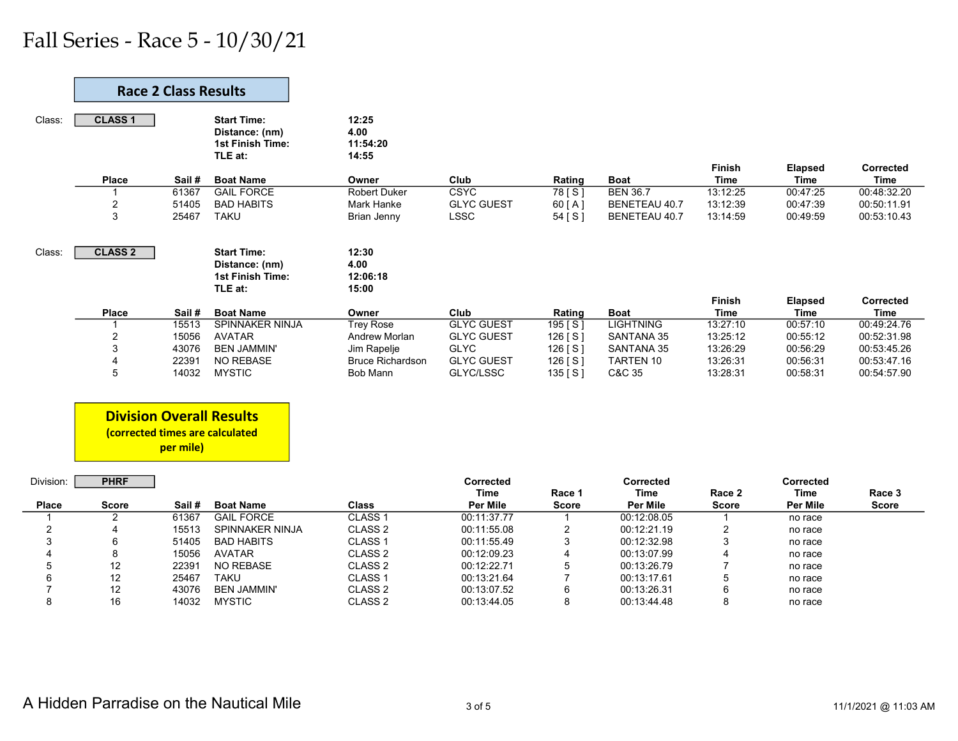|                         | <b>Race 2 Class Results</b>                                        |                |                                                                     |                                    |                                 |                          |                                 |                         |                          |                            |
|-------------------------|--------------------------------------------------------------------|----------------|---------------------------------------------------------------------|------------------------------------|---------------------------------|--------------------------|---------------------------------|-------------------------|--------------------------|----------------------------|
| Class:                  | <b>CLASS1</b>                                                      |                | <b>Start Time:</b><br>Distance: (nm)<br>1st Finish Time:<br>TLE at: | 12:25<br>4.00<br>11:54:20<br>14:55 |                                 |                          |                                 | Finish                  | <b>Elapsed</b>           | <b>Corrected</b>           |
|                         | Place                                                              | Sail#          | <b>Boat Name</b>                                                    | Owner                              | Club                            | Rating                   | <b>Boat</b>                     | <b>Time</b>             | <b>Time</b>              | <b>Time</b>                |
|                         |                                                                    | 61367          | <b>GAIL FORCE</b>                                                   | <b>Robert Duker</b>                | <b>CSYC</b>                     | 78 [S]                   | <b>BEN 36.7</b>                 | 13:12:25                | 00:47:25                 | 00:48:32.20                |
|                         | 2                                                                  | 51405          | <b>BAD HABITS</b>                                                   | Mark Hanke                         | <b>GLYC GUEST</b>               | 60 [A]                   | <b>BENETEAU 40.7</b>            | 13:12:39                | 00:47:39                 | 00:50:11.91                |
|                         | 3                                                                  | 25467          | <b>TAKU</b>                                                         | <b>Brian Jenny</b>                 | <b>LSSC</b>                     | 54 [S]                   | BENETEAU 40.7                   | 13:14:59                | 00:49:59                 | 00:53:10.43                |
| Class:                  | <b>CLASS 2</b>                                                     |                | <b>Start Time:</b><br>Distance: (nm)<br>1st Finish Time:<br>TLE at: | 12:30<br>4.00<br>12:06:18<br>15:00 |                                 |                          |                                 |                         |                          |                            |
|                         |                                                                    |                |                                                                     |                                    |                                 |                          |                                 | Finish                  | <b>Elapsed</b>           | <b>Corrected</b>           |
|                         | Place<br>-1                                                        | Sail#<br>15513 | <b>Boat Name</b><br>SPINNAKER NINJA                                 | Owner<br><b>Trey Rose</b>          | Club<br><b>GLYC GUEST</b>       | Rating                   | <b>Boat</b><br><b>LIGHTNING</b> | <b>Time</b><br>13:27:10 | <b>Time</b><br>00:57:10  | <b>Time</b><br>00:49:24.76 |
|                         | $\sqrt{2}$                                                         | 15056          | <b>AVATAR</b>                                                       | Andrew Morlan                      | <b>GLYC GUEST</b>               | 195 [S]<br>126 [S]       | <b>SANTANA 35</b>               | 13:25:12                | 00:55:12                 | 00:52:31.98                |
|                         | 3                                                                  | 43076          | <b>BEN JAMMIN'</b>                                                  | Jim Rapelje                        | <b>GLYC</b>                     |                          | SANTANA 35                      | 13:26:29                | 00:56:29                 | 00:53:45.26                |
|                         | 4                                                                  | 22391          | <b>NO REBASE</b>                                                    | <b>Bruce Richardson</b>            | <b>GLYC GUEST</b>               | 126 $[S]$<br>126 [ $S$ ] | TARTEN 10                       | 13:26:31                | 00:56:31                 | 00:53:47.16                |
|                         | 5                                                                  | 14032          | <b>MYSTIC</b>                                                       | Bob Mann                           | GLYC/LSSC                       | 135 [S]                  | C&C 35                          | 13:28:31                | 00:58:31                 | 00:54:57.90                |
|                         | <b>Division Overall Results</b><br>(corrected times are calculated | per mile)      |                                                                     |                                    |                                 |                          |                                 |                         |                          |                            |
| Division:               | <b>PHRF</b>                                                        |                |                                                                     |                                    | <b>Corrected</b><br><b>Time</b> | Race 1                   | <b>Corrected</b><br><b>Time</b> | Race 2                  | Corrected<br><b>Time</b> | Race 3                     |
| <b>Place</b>            | <b>Score</b>                                                       | Sail #         | <b>Boat Name</b>                                                    | <b>Class</b>                       | <b>Per Mile</b>                 | <b>Score</b>             | <b>Per Mile</b>                 | <b>Score</b>            | <b>Per Mile</b>          | <b>Score</b>               |
|                         | 2                                                                  | 61367          | <b>GAIL FORCE</b>                                                   | CLASS <sub>1</sub>                 | 00:11:37.77                     |                          | 00:12:08.05                     |                         | no race                  |                            |
| $\overline{\mathbf{c}}$ | 4                                                                  | 15513          | <b>SPINNAKER NINJA</b>                                              | CLASS <sub>2</sub>                 | 00:11:55.08                     | 2                        | 00:12:21.19                     | $\overline{2}$          | no race                  |                            |
| 3                       | 6                                                                  | 51405          | <b>BAD HABITS</b>                                                   | CLASS <sub>1</sub>                 | 00:11:55.49                     | 3                        | 00:12:32.98                     | 3                       | no race                  |                            |
|                         | 8                                                                  | 15056          | <b>AVATAR</b>                                                       | CLASS <sub>2</sub>                 | 00:12:09.23                     | 4                        | 00:13:07.99                     | $\overline{4}$          | no race                  |                            |
| 5                       | 12                                                                 | 22391          | NO REBASE                                                           | CLASS <sub>2</sub>                 | 00:12:22.71                     | 5                        | 00:13:26.79                     | $\overline{7}$          | no race                  |                            |
| 6                       | 12                                                                 | 25467          | <b>TAKU</b>                                                         | CLASS <sub>1</sub>                 | 00:13:21.64                     | $\overline{7}$           | 00:13:17.61                     | 5                       | no race                  |                            |
|                         | 12                                                                 | 43076          | <b>BEN JAMMIN'</b>                                                  | CLASS <sub>2</sub>                 | 00:13:07.52                     | 6                        | 00:13:26.31                     | 6                       | no race                  |                            |
| 8                       | 16                                                                 | 14032          | <b>MYSTIC</b>                                                       | CLASS <sub>2</sub>                 | 00:13:44.05                     | 8                        | 00:13:44.48                     | 8                       | no race                  |                            |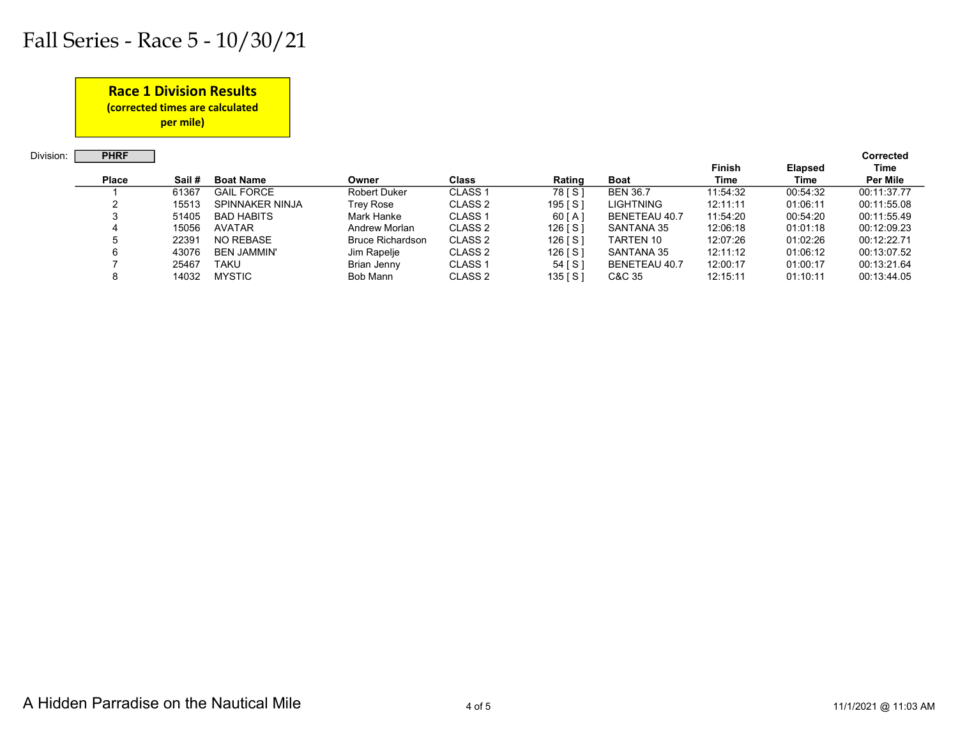#### Race 1 Division Results

(corrected times are calculated

per mile)

Division: **PHRF Corrected Corrected** 

|              |       |                    |                         |                    |           |                  | <b>Finish</b> | <b>Elapsed</b> | Time        |
|--------------|-------|--------------------|-------------------------|--------------------|-----------|------------------|---------------|----------------|-------------|
| <b>Place</b> | Sail# | <b>Boat Name</b>   | Owner                   | <b>Class</b>       | Rating    | <b>Boat</b>      | Time          | Time           | Per Mile    |
|              | 61367 | <b>GAIL FORCE</b>  | <b>Robert Duker</b>     | CLASS <sub>1</sub> | 78 [ S ]  | <b>BEN 36.7</b>  | 11:54:32      | 00:54:32       | 00:11:37.77 |
|              | 15513 | SPINNAKER NINJA    | Trey Rose               | CLASS <sub>2</sub> | 195   S   | <b>LIGHTNING</b> | 12:11:11      | 01:06:11       | 00:11:55.08 |
|              | 51405 | <b>BAD HABITS</b>  | Mark Hanke              | CLASS <sub>1</sub> | $60$ [A]  | BENETEAU 40.7    | 11:54:20      | 00:54:20       | 00:11:55.49 |
|              | 15056 | <b>AVATAR</b>      | Andrew Morlan           | CLASS <sub>2</sub> | 126 [ S ] | SANTANA 35       | 12:06:18      | 01:01:18       | 00:12:09.23 |
|              | 22391 | NO REBASE          | <b>Bruce Richardson</b> | CLASS 2            | $126$ [S] | TARTEN 10        | 12:07:26      | 01:02:26       | 00:12:22.71 |
|              | 43076 | <b>BEN JAMMIN'</b> | Jim Rapelje             | CLASS <sub>2</sub> | 126 [ S ] | SANTANA 35       | 12:11:12      | 01:06:12       | 00:13:07.52 |
|              | 25467 | TAKU               | Brian Jenny             | CLASS <sub>1</sub> | 54 [ S ]  | BENETEAU 40.7    | 12:00:17      | 01:00:17       | 00:13:21.64 |
|              | 14032 | <b>MYSTIC</b>      | Bob Mann                | CLASS <sub>2</sub> | 135   S ] | C&C 35           | 12:15:11      | 01:10:11       | 00:13:44.05 |